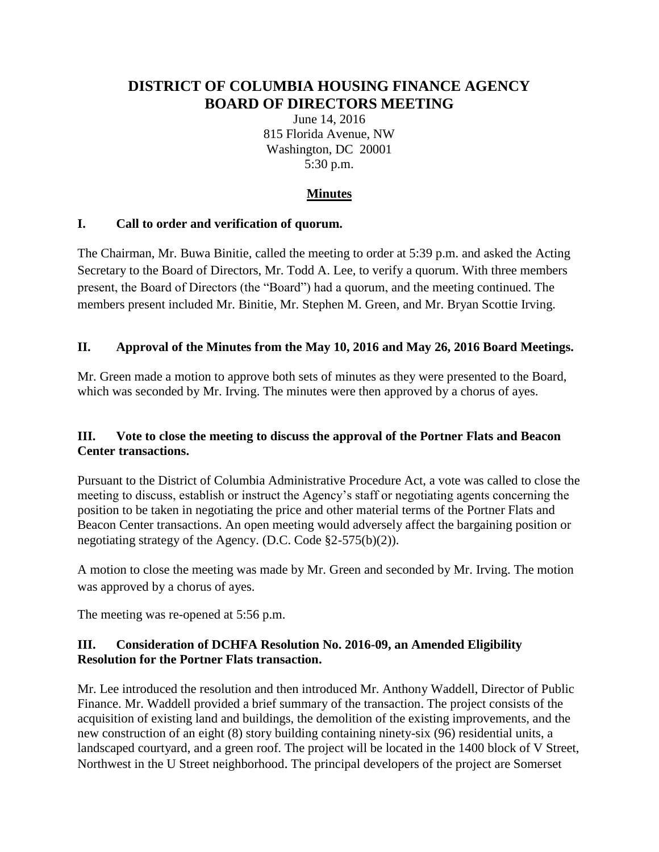# **DISTRICT OF COLUMBIA HOUSING FINANCE AGENCY BOARD OF DIRECTORS MEETING**

June 14, 2016 815 Florida Avenue, NW Washington, DC 20001 5:30 p.m.

# **Minutes**

## **I. Call to order and verification of quorum.**

The Chairman, Mr. Buwa Binitie, called the meeting to order at 5:39 p.m. and asked the Acting Secretary to the Board of Directors, Mr. Todd A. Lee, to verify a quorum. With three members present, the Board of Directors (the "Board") had a quorum, and the meeting continued. The members present included Mr. Binitie, Mr. Stephen M. Green, and Mr. Bryan Scottie Irving.

## **II. Approval of the Minutes from the May 10, 2016 and May 26, 2016 Board Meetings.**

Mr. Green made a motion to approve both sets of minutes as they were presented to the Board, which was seconded by Mr. Irving. The minutes were then approved by a chorus of ayes.

## **III. Vote to close the meeting to discuss the approval of the Portner Flats and Beacon Center transactions.**

Pursuant to the District of Columbia Administrative Procedure Act, a vote was called to close the meeting to discuss, establish or instruct the Agency's staff or negotiating agents concerning the position to be taken in negotiating the price and other material terms of the Portner Flats and Beacon Center transactions. An open meeting would adversely affect the bargaining position or negotiating strategy of the Agency. (D.C. Code §2-575(b)(2)).

A motion to close the meeting was made by Mr. Green and seconded by Mr. Irving. The motion was approved by a chorus of ayes.

The meeting was re-opened at 5:56 p.m.

# **III. Consideration of DCHFA Resolution No. 2016-09, an Amended Eligibility Resolution for the Portner Flats transaction.**

Mr. Lee introduced the resolution and then introduced Mr. Anthony Waddell, Director of Public Finance. Mr. Waddell provided a brief summary of the transaction. The project consists of the acquisition of existing land and buildings, the demolition of the existing improvements, and the new construction of an eight (8) story building containing ninety-six (96) residential units, a landscaped courtyard, and a green roof. The project will be located in the 1400 block of V Street, Northwest in the U Street neighborhood. The principal developers of the project are Somerset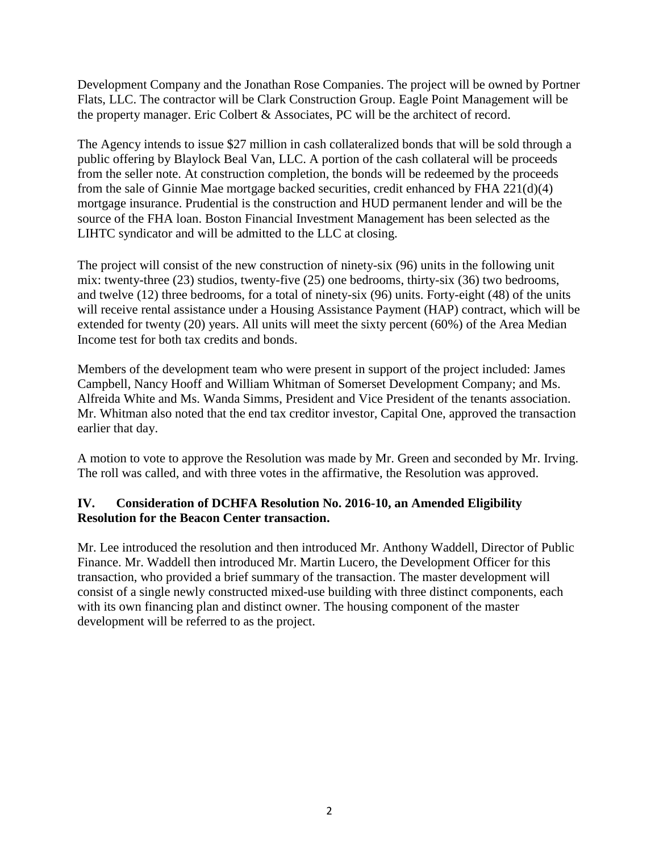Development Company and the Jonathan Rose Companies. The project will be owned by Portner Flats, LLC. The contractor will be Clark Construction Group. Eagle Point Management will be the property manager. Eric Colbert & Associates, PC will be the architect of record.

The Agency intends to issue \$27 million in cash collateralized bonds that will be sold through a public offering by Blaylock Beal Van, LLC. A portion of the cash collateral will be proceeds from the seller note. At construction completion, the bonds will be redeemed by the proceeds from the sale of Ginnie Mae mortgage backed securities, credit enhanced by FHA 221(d)(4) mortgage insurance. Prudential is the construction and HUD permanent lender and will be the source of the FHA loan. Boston Financial Investment Management has been selected as the LIHTC syndicator and will be admitted to the LLC at closing.

The project will consist of the new construction of ninety-six (96) units in the following unit mix: twenty-three (23) studios, twenty-five (25) one bedrooms, thirty-six (36) two bedrooms, and twelve (12) three bedrooms, for a total of ninety-six (96) units. Forty-eight (48) of the units will receive rental assistance under a Housing Assistance Payment (HAP) contract, which will be extended for twenty (20) years. All units will meet the sixty percent (60%) of the Area Median Income test for both tax credits and bonds.

Members of the development team who were present in support of the project included: James Campbell, Nancy Hooff and William Whitman of Somerset Development Company; and Ms. Alfreida White and Ms. Wanda Simms, President and Vice President of the tenants association. Mr. Whitman also noted that the end tax creditor investor, Capital One, approved the transaction earlier that day.

A motion to vote to approve the Resolution was made by Mr. Green and seconded by Mr. Irving. The roll was called, and with three votes in the affirmative, the Resolution was approved.

## **IV. Consideration of DCHFA Resolution No. 2016-10, an Amended Eligibility Resolution for the Beacon Center transaction.**

Mr. Lee introduced the resolution and then introduced Mr. Anthony Waddell, Director of Public Finance. Mr. Waddell then introduced Mr. Martin Lucero, the Development Officer for this transaction, who provided a brief summary of the transaction. The master development will consist of a single newly constructed mixed-use building with three distinct components, each with its own financing plan and distinct owner. The housing component of the master development will be referred to as the project.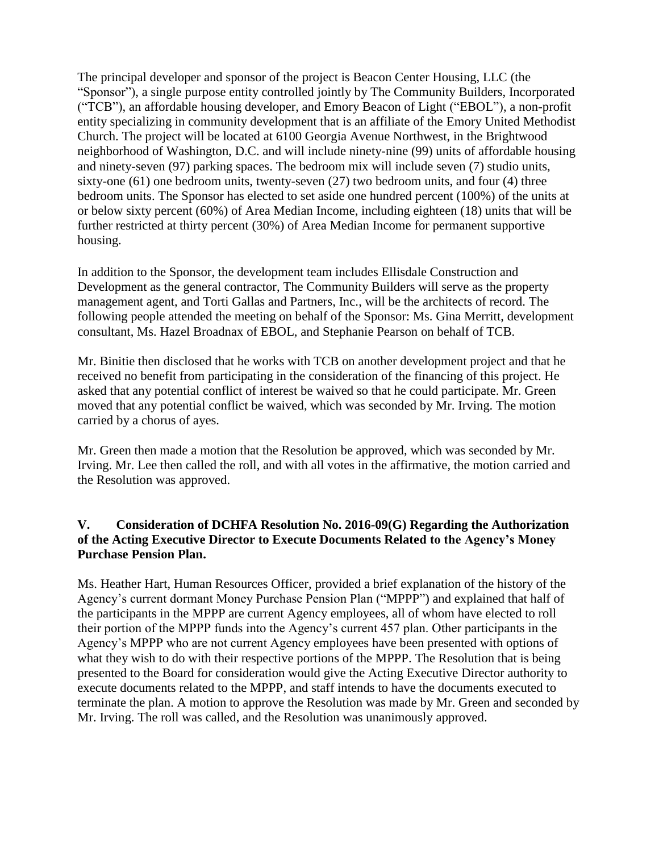The principal developer and sponsor of the project is Beacon Center Housing, LLC (the "Sponsor"), a single purpose entity controlled jointly by The Community Builders, Incorporated ("TCB"), an affordable housing developer, and Emory Beacon of Light ("EBOL"), a non-profit entity specializing in community development that is an affiliate of the Emory United Methodist Church. The project will be located at 6100 Georgia Avenue Northwest, in the Brightwood neighborhood of Washington, D.C. and will include ninety-nine (99) units of affordable housing and ninety-seven (97) parking spaces. The bedroom mix will include seven (7) studio units, sixty-one (61) one bedroom units, twenty-seven (27) two bedroom units, and four (4) three bedroom units. The Sponsor has elected to set aside one hundred percent (100%) of the units at or below sixty percent (60%) of Area Median Income, including eighteen (18) units that will be further restricted at thirty percent (30%) of Area Median Income for permanent supportive housing.

In addition to the Sponsor, the development team includes Ellisdale Construction and Development as the general contractor, The Community Builders will serve as the property management agent, and Torti Gallas and Partners, Inc., will be the architects of record. The following people attended the meeting on behalf of the Sponsor: Ms. Gina Merritt, development consultant, Ms. Hazel Broadnax of EBOL, and Stephanie Pearson on behalf of TCB.

Mr. Binitie then disclosed that he works with TCB on another development project and that he received no benefit from participating in the consideration of the financing of this project. He asked that any potential conflict of interest be waived so that he could participate. Mr. Green moved that any potential conflict be waived, which was seconded by Mr. Irving. The motion carried by a chorus of ayes.

Mr. Green then made a motion that the Resolution be approved, which was seconded by Mr. Irving. Mr. Lee then called the roll, and with all votes in the affirmative, the motion carried and the Resolution was approved.

#### **V. Consideration of DCHFA Resolution No. 2016-09(G) Regarding the Authorization of the Acting Executive Director to Execute Documents Related to the Agency's Money Purchase Pension Plan.**

Ms. Heather Hart, Human Resources Officer, provided a brief explanation of the history of the Agency's current dormant Money Purchase Pension Plan ("MPPP") and explained that half of the participants in the MPPP are current Agency employees, all of whom have elected to roll their portion of the MPPP funds into the Agency's current 457 plan. Other participants in the Agency's MPPP who are not current Agency employees have been presented with options of what they wish to do with their respective portions of the MPPP. The Resolution that is being presented to the Board for consideration would give the Acting Executive Director authority to execute documents related to the MPPP, and staff intends to have the documents executed to terminate the plan. A motion to approve the Resolution was made by Mr. Green and seconded by Mr. Irving. The roll was called, and the Resolution was unanimously approved.